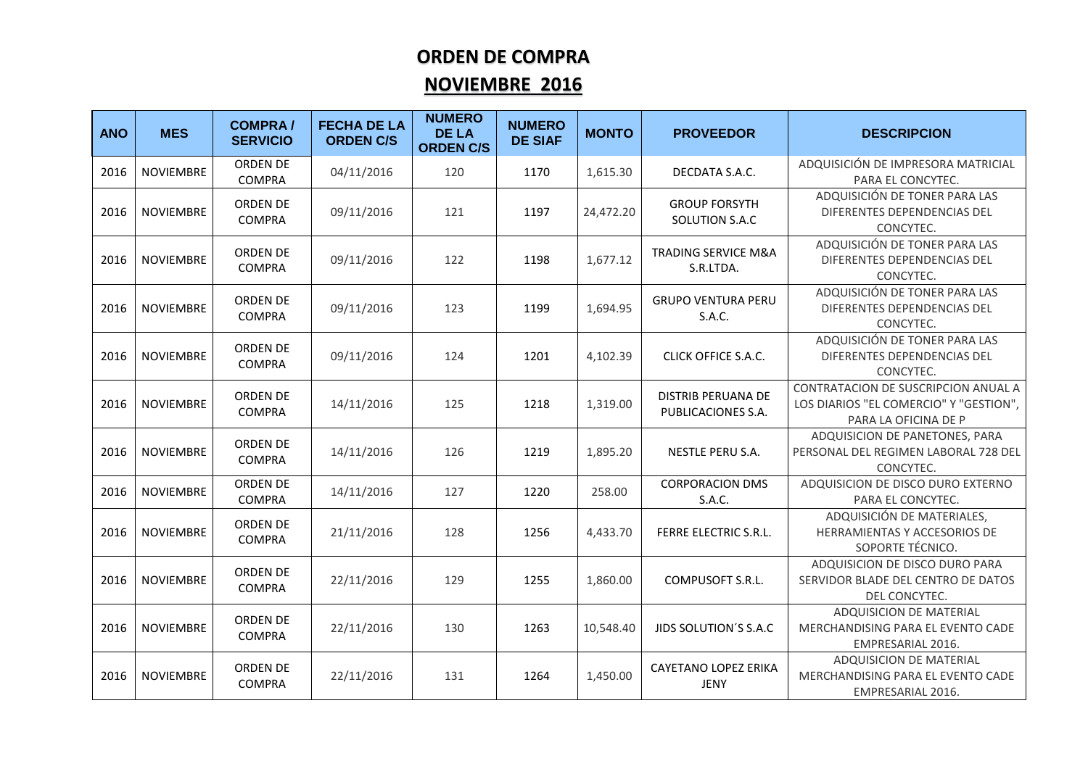## **ORDEN DE COMPRA**

## **NOVIEMBRE 2016**

| <b>ANO</b> | <b>MES</b>       | <b>COMPRA/</b><br><b>SERVICIO</b> | <b>FECHA DE LA</b><br><b>ORDEN C/S</b> | <b>NUMERO</b><br><b>DE LA</b><br><b>ORDEN C/S</b> | <b>NUMERO</b><br><b>DE SIAF</b> | <b>MONTO</b> | <b>PROVEEDOR</b>                            | <b>DESCRIPCION</b>                                                                                    |
|------------|------------------|-----------------------------------|----------------------------------------|---------------------------------------------------|---------------------------------|--------------|---------------------------------------------|-------------------------------------------------------------------------------------------------------|
| 2016       | <b>NOVIEMBRE</b> | <b>ORDEN DE</b><br><b>COMPRA</b>  | 04/11/2016                             | 120                                               | 1170                            | 1,615.30     | DECDATA S.A.C.                              | ADQUISICIÓN DE IMPRESORA MATRICIAL<br>PARA EL CONCYTEC.                                               |
| 2016       | <b>NOVIEMBRE</b> | ORDEN DE<br><b>COMPRA</b>         | 09/11/2016                             | 121                                               | 1197                            | 24,472.20    | <b>GROUP FORSYTH</b><br>SOLUTION S.A.C      | ADQUISICIÓN DE TONER PARA LAS<br>DIFERENTES DEPENDENCIAS DEL<br>CONCYTEC.                             |
| 2016       | <b>NOVIEMBRE</b> | ORDEN DE<br><b>COMPRA</b>         | 09/11/2016                             | 122                                               | 1198                            | 1,677.12     | <b>TRADING SERVICE M&amp;A</b><br>S.R.LTDA. | ADQUISICIÓN DE TONER PARA LAS<br>DIFERENTES DEPENDENCIAS DEL<br>CONCYTEC.                             |
| 2016       | <b>NOVIEMBRE</b> | ORDEN DE<br><b>COMPRA</b>         | 09/11/2016                             | 123                                               | 1199                            | 1,694.95     | <b>GRUPO VENTURA PERU</b><br>S.A.C.         | ADQUISICIÓN DE TONER PARA LAS<br>DIFERENTES DEPENDENCIAS DEL<br>CONCYTEC.                             |
| 2016       | <b>NOVIEMBRE</b> | ORDEN DE<br><b>COMPRA</b>         | 09/11/2016                             | 124                                               | 1201                            | 4,102.39     | <b>CLICK OFFICE S.A.C.</b>                  | ADQUISICIÓN DE TONER PARA LAS<br>DIFERENTES DEPENDENCIAS DEL<br>CONCYTEC.                             |
| 2016       | <b>NOVIEMBRE</b> | ORDEN DE<br><b>COMPRA</b>         | 14/11/2016                             | 125                                               | 1218                            | 1,319.00     | DISTRIB PERUANA DE<br>PUBLICACIONES S.A.    | CONTRATACION DE SUSCRIPCION ANUAL A<br>LOS DIARIOS "EL COMERCIO" Y "GESTION",<br>PARA LA OFICINA DE P |
| 2016       | <b>NOVIEMBRE</b> | ORDEN DE<br><b>COMPRA</b>         | 14/11/2016                             | 126                                               | 1219                            | 1,895.20     | NESTLE PERU S.A.                            | ADQUISICION DE PANETONES, PARA<br>PERSONAL DEL REGIMEN LABORAL 728 DEL<br>CONCYTEC.                   |
| 2016       | <b>NOVIEMBRE</b> | <b>ORDEN DE</b><br><b>COMPRA</b>  | 14/11/2016                             | 127                                               | 1220                            | 258.00       | <b>CORPORACION DMS</b><br>S.A.C.            | ADQUISICION DE DISCO DURO EXTERNO<br>PARA EL CONCYTEC.                                                |
| 2016       | <b>NOVIEMBRE</b> | ORDEN DE<br><b>COMPRA</b>         | 21/11/2016                             | 128                                               | 1256                            | 4,433.70     | <b>FERRE ELECTRIC S.R.L.</b>                | ADQUISICIÓN DE MATERIALES,<br>HERRAMIENTAS Y ACCESORIOS DE<br>SOPORTE TÉCNICO.                        |
| 2016       | <b>NOVIEMBRE</b> | ORDEN DE<br><b>COMPRA</b>         | 22/11/2016                             | 129                                               | 1255                            | 1,860.00     | COMPUSOFT S.R.L.                            | ADQUISICION DE DISCO DURO PARA<br>SERVIDOR BLADE DEL CENTRO DE DATOS<br>DEL CONCYTEC.                 |
| 2016       | <b>NOVIEMBRE</b> | ORDEN DE<br><b>COMPRA</b>         | 22/11/2016                             | 130                                               | 1263                            | 10,548.40    | JIDS SOLUTION'S S.A.C                       | ADQUISICION DE MATERIAL<br>MERCHANDISING PARA EL EVENTO CADE<br>EMPRESARIAL 2016.                     |
| 2016       | <b>NOVIEMBRE</b> | ORDEN DE<br><b>COMPRA</b>         | 22/11/2016                             | 131                                               | 1264                            | 1,450.00     | <b>CAYETANO LOPEZ ERIKA</b><br>JENY         | ADQUISICION DE MATERIAL<br>MERCHANDISING PARA EL EVENTO CADE<br>EMPRESARIAL 2016.                     |